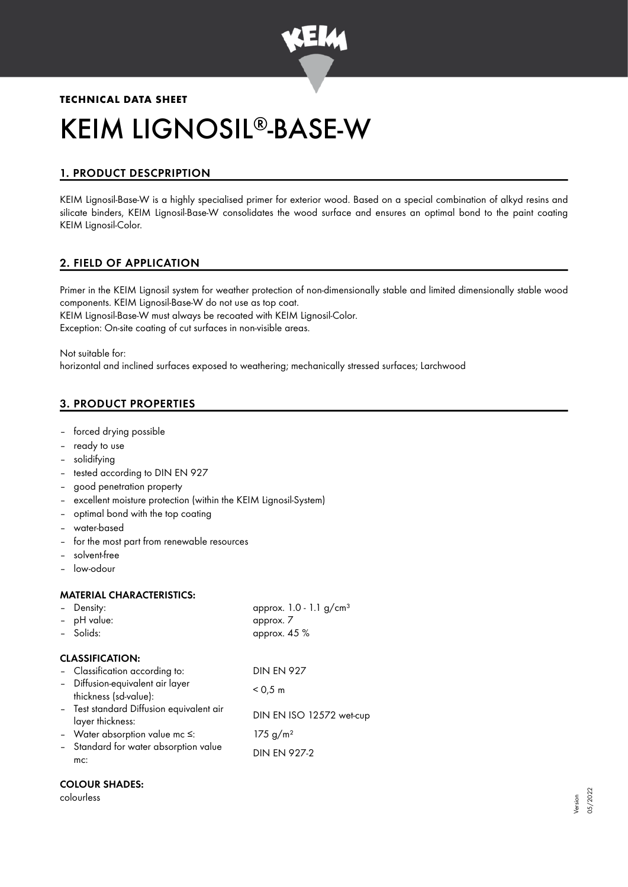

# **TECHNICAL DATA SHEET** KEIM LIGNOSIL®-BASE-W

# 1. PRODUCT DESCPRIPTION

KEIM Lignosil-Base-W is a highly specialised primer for exterior wood. Based on a special combination of alkyd resins and silicate binders, KEIM Lignosil-Base-W consolidates the wood surface and ensures an optimal bond to the paint coating KEIM Lignosil-Color.

## 2. FIELD OF APPLICATION

Primer in the KEIM Lignosil system for weather protection of non-dimensionally stable and limited dimensionally stable wood components. KEIM Lignosil-Base-W do not use as top coat. KEIM Lignosil-Base-W must always be recoated with KEIM Lignosil-Color. Exception: On-site coating of cut surfaces in non-visible areas.

Not suitable for:

horizontal and inclined surfaces exposed to weathering; mechanically stressed surfaces; Larchwood

# 3. PRODUCT PROPERTIES

- forced drying possible
- ready to use
- solidifying
- tested according to DIN EN 927
- good penetration property
- excellent moisture protection (within the KEIM Lignosil-System)
- optimal bond with the top coating
- water-based
- for the most part from renewable resources
- solvent-free
- low-odour

## MATERIAL CHARACTERISTICS:

| - Density:                                                   | approx. $1.0 - 1.1$ g/cm <sup>3</sup> |
|--------------------------------------------------------------|---------------------------------------|
| - pH value:                                                  | approx. 7                             |
| - Solids:                                                    | approx. 45 %                          |
| <b>CLASSIFICATION:</b>                                       |                                       |
| - Classification according to:                               | <b>DIN EN 927</b>                     |
| - Diffusion-equivalent air layer<br>thickness (sd-value):    | $< 0.5 \; \text{m}$                   |
| - Test standard Diffusion equivalent air<br>layer thickness: | DIN EN ISO 12572 wet-cup              |
| - Water absorption value mc $\leq$ :                         | 175 g/m <sup>2</sup>                  |
| - Standard for water absorption value<br>mc:                 | <b>DIN EN 927-2</b>                   |

## COLOUR SHADES:

colourless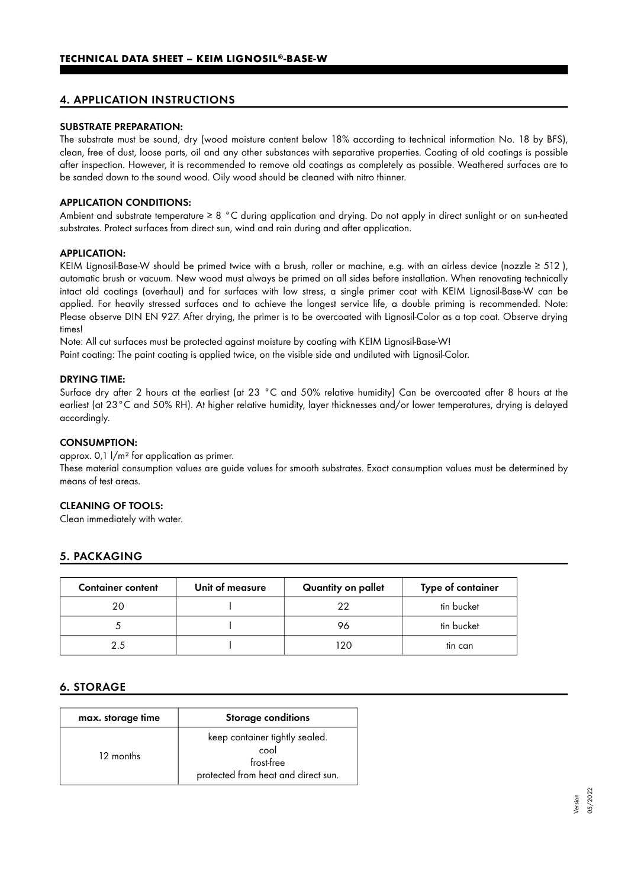## 4. APPLICATION INSTRUCTIONS

#### SUBSTRATE PREPARATION:

The substrate must be sound, dry (wood moisture content below 18% according to technical information No. 18 by BFS), clean, free of dust, loose parts, oil and any other substances with separative properties. Coating of old coatings is possible after inspection. However, it is recommended to remove old coatings as completely as possible. Weathered surfaces are to be sanded down to the sound wood. Oily wood should be cleaned with nitro thinner.

## APPLICATION CONDITIONS:

Ambient and substrate temperature ≥ 8 °C during application and drying. Do not apply in direct sunlight or on sun-heated substrates. Protect surfaces from direct sun, wind and rain during and after application.

#### APPLICATION:

KEIM Lignosil-Base-W should be primed twice with a brush, roller or machine, e.g. with an airless device (nozzle  $\geq 512$ ), automatic brush or vacuum. New wood must always be primed on all sides before installation. When renovating technically intact old coatings (overhaul) and for surfaces with low stress, a single primer coat with KEIM Lignosil-Base-W can be applied. For heavily stressed surfaces and to achieve the longest service life, a double priming is recommended. Note: Please observe DIN EN 927. After drying, the primer is to be overcoated with Lignosil-Color as a top coat. Observe drying times!

Note: All cut surfaces must be protected against moisture by coating with KEIM Lignosil-Base-W!

Paint coating: The paint coating is applied twice, on the visible side and undiluted with Lignosil-Color.

#### DRYING TIME:

Surface dry after 2 hours at the earliest (at 23 °C and 50% relative humidity) Can be overcoated after 8 hours at the earliest (at 23°C and 50% RH). At higher relative humidity, layer thicknesses and/or lower temperatures, drying is delayed accordingly.

#### CONSUMPTION:

approx. 0,1 l/m² for application as primer.

These material consumption values are guide values for smooth substrates. Exact consumption values must be determined by means of test areas.

#### CLEANING OF TOOLS:

Clean immediately with water.

## 5. PACKAGING

| <b>Container content</b> | Unit of measure | Quantity on pallet | Type of container |
|--------------------------|-----------------|--------------------|-------------------|
| 20                       |                 | つつ                 | tin bucket        |
|                          |                 | 96                 | tin bucket        |
| 25                       |                 | 120                | tin can           |

## 6. STORAGE

| max. storage time | <b>Storage conditions</b>                                                                   |
|-------------------|---------------------------------------------------------------------------------------------|
| 12 months         | keep container tightly sealed.<br>cool<br>frost-free<br>protected from heat and direct sun. |